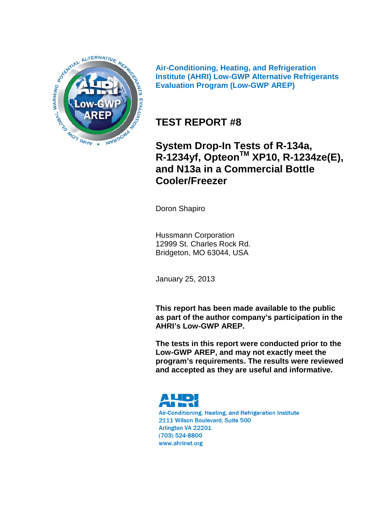

**Air-Conditioning, Heating, and Refrigeration Institute (AHRI) Low-GWP Alternative Refrigerants Evaluation Program (Low-GWP AREP)**

### **TEST REPORT #8**

**System Drop-In Tests of R-134a, R-1234yf, OpteonTM XP10, R-1234ze(E), and N13a in a Commercial Bottle Cooler/Freezer**

Doron Shapiro

Hussmann Corporation 12999 St. Charles Rock Rd. Bridgeton, MO 63044, USA

January 25, 2013

**This report has been made available to the public as part of the author company's participation in the AHRI's Low-GWP AREP.**

**The tests in this report were conducted prior to the Low-GWP AREP, and may not exactly meet the program's requirements. The results were reviewed and accepted as they are useful and informative.** 



Air-Conditioning, Heating, and Refrigeration Institute 2111 Wilson Boulevard, Suite 500 Arlington VA 22201 (703) 524-8800 www.ahrinet.org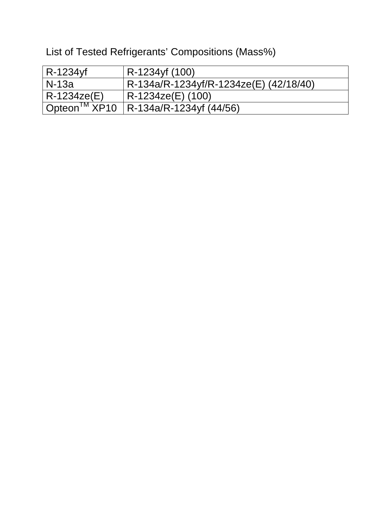List of Tested Refrigerants' Compositions (Mass%)

| R-1234yf                 | R-1234yf (100)                         |
|--------------------------|----------------------------------------|
| l N-13a                  | R-134a/R-1234yf/R-1234ze(E) (42/18/40) |
| R-1234ze(E)              | R-1234ze(E) (100)                      |
| Opteon <sup>™</sup> XP10 | $ R-134a/R-1234yf(44/56) $             |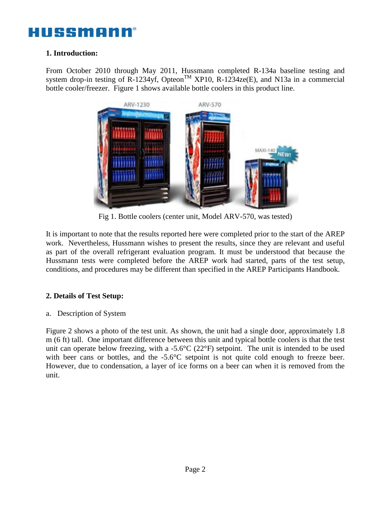### **1. Introduction:**

From October 2010 through May 2011, Hussmann completed R-134a baseline testing and system drop-in testing of  $\overline{R}$ -1234yf, Opteon<sup>TM</sup> XP10, R-1234ze(E), and N13a in a commercial bottle cooler/freezer. Figure 1 shows available bottle coolers in this product line.



Fig 1. Bottle coolers (center unit, Model ARV-570, was tested)

It is important to note that the results reported here were completed prior to the start of the AREP work. Nevertheless, Hussmann wishes to present the results, since they are relevant and useful as part of the overall refrigerant evaluation program. It must be understood that because the Hussmann tests were completed before the AREP work had started, parts of the test setup, conditions, and procedures may be different than specified in the AREP Participants Handbook.

### **2. Details of Test Setup:**

a. Description of System

Figure 2 shows a photo of the test unit. As shown, the unit had a single door, approximately 1.8 m (6 ft) tall. One important difference between this unit and typical bottle coolers is that the test unit can operate below freezing, with a -5.6°C (22°F) setpoint. The unit is intended to be used with beer cans or bottles, and the -5.6°C setpoint is not quite cold enough to freeze beer. However, due to condensation, a layer of ice forms on a beer can when it is removed from the unit.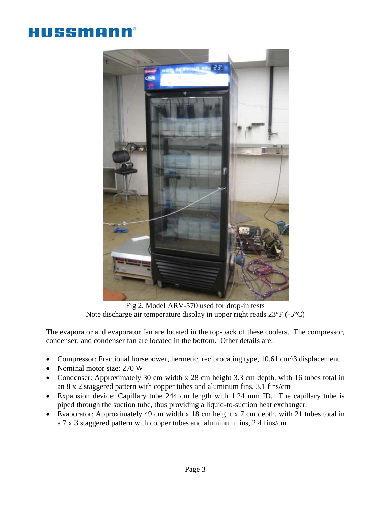# HUSSMANI



Fig 2. Model ARV-570 used for drop-in tests Note discharge air temperature display in upper right reads 23°F (-5°C)

The evaporator and evaporator fan are located in the top-back of these coolers. The compressor, condenser, and condenser fan are located in the bottom. Other details are:

- Compressor: Fractional horsepower, hermetic, reciprocating type, 10.61 cm^3 displacement
- Nominal motor size: 270 W
- Condenser: Approximately 30 cm width x 28 cm height 3.3 cm depth, with 16 tubes total in an 8 x 2 staggered pattern with copper tubes and aluminum fins, 3.1 fins/cm
- Expansion device: Capillary tube 244 cm length with 1.24 mm ID. The capillary tube is piped through the suction tube, thus providing a liquid-to-suction heat exchanger.
- Evaporator: Approximately 49 cm width x 18 cm height x 7 cm depth, with 21 tubes total in a 7 x 3 staggered pattern with copper tubes and aluminum fins, 2.4 fins/cm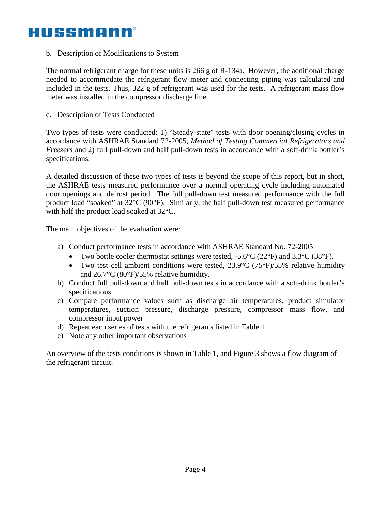b. Description of Modifications to System

The normal refrigerant charge for these units is  $266$  g of R-134a. However, the additional charge needed to accommodate the refrigerant flow meter and connecting piping was calculated and included in the tests. Thus, 322 g of refrigerant was used for the tests. A refrigerant mass flow meter was installed in the compressor discharge line.

c. Description of Tests Conducted

Two types of tests were conducted: 1) "Steady-state" tests with door opening/closing cycles in accordance with ASHRAE Standard 72-2005, *Method of Testing Commercial Refrigerators and Freezers* and 2) full pull-down and half pull-down tests in accordance with a soft-drink bottler's specifications.

A detailed discussion of these two types of tests is beyond the scope of this report, but in short, the ASHRAE tests measured performance over a normal operating cycle including automated door openings and defrost period. The full pull-down test measured performance with the full product load "soaked" at 32°C (90°F). Similarly, the half pull-down test measured performance with half the product load soaked at 32°C.

The main objectives of the evaluation were:

- a) Conduct performance tests in accordance with ASHRAE Standard No. 72-2005
	- Two bottle cooler thermostat settings were tested,  $-5.6^{\circ}C(22^{\circ}F)$  and  $3.3^{\circ}C(38^{\circ}F)$ .
	- Two test cell ambient conditions were tested,  $23.9^{\circ}C$  (75°F)/55% relative humidity and 26.7°C (80°F)/55% relative humidity.
- b) Conduct full pull-down and half pull-down tests in accordance with a soft-drink bottler's specifications
- c) Compare performance values such as discharge air temperatures, product simulator temperatures, suction pressure, discharge pressure, compressor mass flow, and compressor input power
- d) Repeat each series of tests with the refrigerants listed in Table 1
- e) Note any other important observations

An overview of the tests conditions is shown in Table 1, and Figure 3 shows a flow diagram of the refrigerant circuit.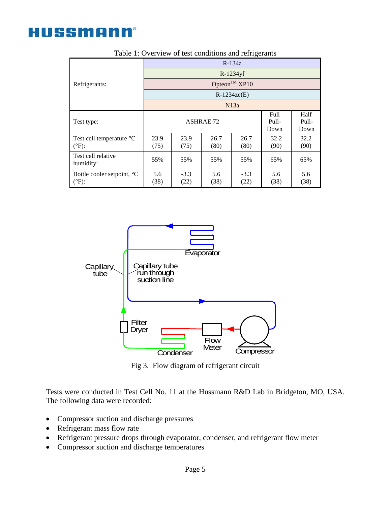

Fig 3. Flow diagram of refrigerant circuit

Flow **Meter** 

**Compressor** 

**Condenser** 



Filter **Dryer** 

• Refrigerant mass flow rate

Refrigerants:

HUSSMANN®

- Refrigerant pressure drops through evaporator, condenser, and refrigerant flow meter
- Compressor suction and discharge temperatures



Table 1: Overview of test conditions and refrigerants

R-134a R-1234yf Opteon $^{TM}$  XP10 R-1234ze(E) N13a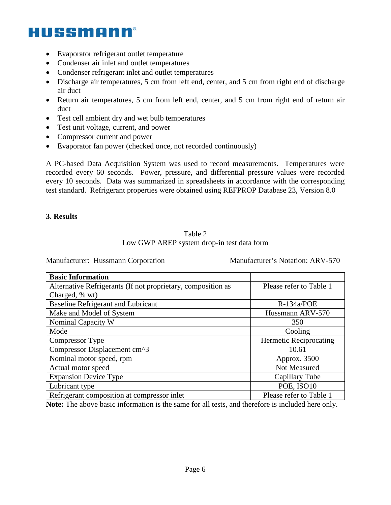- Evaporator refrigerant outlet temperature
- Condenser air inlet and outlet temperatures
- Condenser refrigerant inlet and outlet temperatures
- Discharge air temperatures, 5 cm from left end, center, and 5 cm from right end of discharge air duct
- Return air temperatures, 5 cm from left end, center, and 5 cm from right end of return air duct
- Test cell ambient dry and wet bulb temperatures
- Test unit voltage, current, and power
- Compressor current and power
- Evaporator fan power (checked once, not recorded continuously)

A PC-based Data Acquisition System was used to record measurements. Temperatures were recorded every 60 seconds. Power, pressure, and differential pressure values were recorded every 10 seconds. Data was summarized in spreadsheets in accordance with the corresponding test standard. Refrigerant properties were obtained using REFPROP Database 23, Version 8.0

#### **3. Results**

#### Table 2 Low GWP AREP system drop-in test data form

Manufacturer: Hussmann Corporation Manufacturer's Notation: ARV-570

| <b>Basic Information</b>                                     |                               |
|--------------------------------------------------------------|-------------------------------|
| Alternative Refrigerants (If not proprietary, composition as | Please refer to Table 1       |
| Charged, % wt)                                               |                               |
| <b>Baseline Refrigerant and Lubricant</b>                    | $R-134a/POE$                  |
| Make and Model of System                                     | Hussmann ARV-570              |
| Nominal Capacity W                                           | 350                           |
| Mode                                                         | Cooling                       |
| Compressor Type                                              | <b>Hermetic Reciprocating</b> |
| Compressor Displacement cm^3                                 | 10.61                         |
| Nominal motor speed, rpm                                     | Approx. 3500                  |
| Actual motor speed                                           | Not Measured                  |
| <b>Expansion Device Type</b>                                 | Capillary Tube                |
| Lubricant type                                               | POE, ISO10                    |
| Refrigerant composition at compressor inlet                  | Please refer to Table 1       |

**Note:** The above basic information is the same for all tests, and therefore is included here only.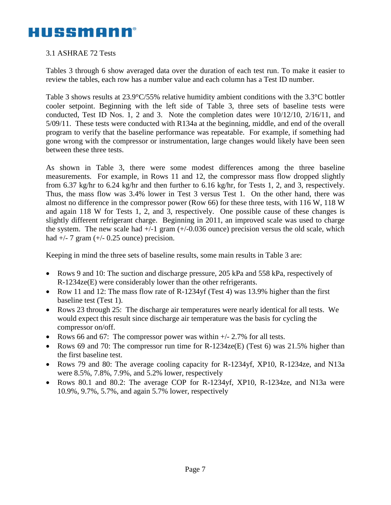### 3.1 ASHRAE 72 Tests

Tables 3 through 6 show averaged data over the duration of each test run. To make it easier to review the tables, each row has a number value and each column has a Test ID number.

Table 3 shows results at 23.9°C/55% relative humidity ambient conditions with the 3.3°C bottler cooler setpoint. Beginning with the left side of Table 3, three sets of baseline tests were conducted, Test ID Nos. 1, 2 and 3. Note the completion dates were 10/12/10, 2/16/11, and 5/09/11. These tests were conducted with R134a at the beginning, middle, and end of the overall program to verify that the baseline performance was repeatable. For example, if something had gone wrong with the compressor or instrumentation, large changes would likely have been seen between these three tests.

As shown in Table 3, there were some modest differences among the three baseline measurements. For example, in Rows 11 and 12, the compressor mass flow dropped slightly from 6.37 kg/hr to 6.24 kg/hr and then further to 6.16 kg/hr, for Tests 1, 2, and 3, respectively. Thus, the mass flow was 3.4% lower in Test 3 versus Test 1. On the other hand, there was almost no difference in the compressor power (Row 66) for these three tests, with 116 W, 118 W and again 118 W for Tests 1, 2, and 3, respectively. One possible cause of these changes is slightly different refrigerant charge. Beginning in 2011, an improved scale was used to charge the system. The new scale had  $+/-1$  gram  $(+/-0.036$  ounce) precision versus the old scale, which had  $+/- 7$  gram  $(+/- 0.25$  ounce) precision.

Keeping in mind the three sets of baseline results, some main results in Table 3 are:

- Rows 9 and 10: The suction and discharge pressure, 205 kPa and 558 kPa, respectively of R-1234ze(E) were considerably lower than the other refrigerants.
- Row 11 and 12: The mass flow rate of R-1234yf (Test 4) was 13.9% higher than the first baseline test (Test 1).
- Rows 23 through 25: The discharge air temperatures were nearly identical for all tests. We would expect this result since discharge air temperature was the basis for cycling the compressor on/off.
- Rows 66 and 67: The compressor power was within  $+/- 2.7\%$  for all tests.
- Rows 69 and 70: The compressor run time for R-1234ze(E) (Test 6) was 21.5% higher than the first baseline test.
- Rows 79 and 80: The average cooling capacity for R-1234yf, XP10, R-1234ze, and N13a were 8.5%, 7.8%, 7.9%, and 5.2% lower, respectively
- Rows 80.1 and 80.2: The average COP for R-1234yf, XP10, R-1234ze, and N13a were 10.9%, 9.7%, 5.7%, and again 5.7% lower, respectively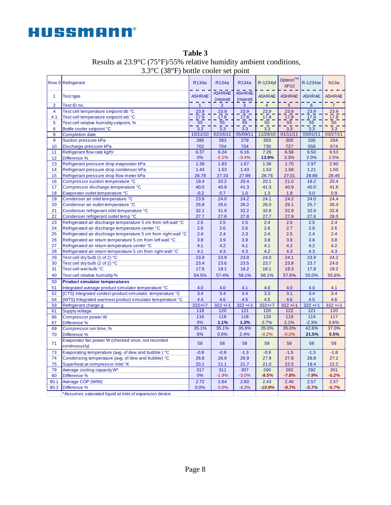| Row 0 Refrigerant                                                         | R134a          | R134a                     | R134a                     | R-1234yf       | Opteon <sup>™</sup><br><b>XP10</b> | R-1234ze       | <b>N13a</b>   |
|---------------------------------------------------------------------------|----------------|---------------------------|---------------------------|----------------|------------------------------------|----------------|---------------|
| <b>Test type</b><br>1                                                     | <b>ASHRAE</b>  | <b>ASHRAE</b><br>(repeat) | <b>ASHRAE</b><br>(repeat) | <b>ASHRAE</b>  | <b>ASHRAE</b>                      | <b>ASHRAE</b>  | <b>ASHRAE</b> |
| $\overline{2}$<br>Test ID no.                                             | $\overline{1}$ | $\overline{2}$            | 3                         | $\overline{4}$ | 5 <sup>7</sup>                     | $6\phantom{1}$ | 7             |
| $\overline{4}$<br>Test cell temperature setpoint db °C                    | 23.9           | 23.9                      | 23.9                      | 23.9           | 23.9                               | 23.9           | 23.9          |
| 4.1<br>Test cell temperature setpoint wb °C                               | 17.8           | 17.8                      | 17.8                      | 17.8           | 17.8                               | 17.8           | 17.8          |
| Test cell relative humidity setpoint, %<br>5                              | 55             | $\overline{55}$           | 55                        | 55             | 55                                 | 55             | 55            |
| 6<br>Bottle cooler setpoint °C                                            | 3.3            | 3.3                       | 3.3                       | 3.3            | 3.3                                | 3.3            | 3.3           |
| 8<br><b>Completion date</b>                                               | 10/12/10       | 02/16/11                  | 05/09/11                  | 11/28/10       | 01/11/11                           | 03/01/11       | 03/27/11      |
| 9<br><b>Suction pressure kPa</b>                                          | 285            | 283                       | 279                       | 303            | 305                                | 205            | 264           |
| 10<br>Discharge pressure kPa                                              | 702            | 704                       | 704                       | 730            | 727                                | 558            | 674           |
| Refrigerant flow rate kg/hr<br>11                                         | 6.37           | 6.24                      | 6.16                      | 7.26           | 6.58                               | 6.50           | 6.53          |
| 12<br>Difference %                                                        | 0%             | $-2.1%$                   | $-3.4%$                   | 13.9%          | 3.3%                               | 2.0%           | 2.5%          |
| 13<br>Refrigerant pressure drop evaporator kPa                            | 1.39           | 1.83                      | 1.67                      | 1.36           | 1.70                               | 2.97           | 2.90          |
| 14<br>Refrigerant pressure drop condenser kPa                             | 1.43           | 1.53                      | 1.43                      | 1.53           | 1.58                               | 1.21           | 1.50          |
| 15<br>Refrigerant pressure drop flow meter kPa                            | 26.78          | 27.33                     | 27.89                     | 26.76          | 27.01                              | 29.89          | 28.46         |
| 16<br>Compressor suction temperature °C                                   | 19.4           | 20.2                      | 20.4                      | 20.1           | 21.0                               | 18.2           | 20.4          |
| 17<br>Compressor discharge temperature °C                                 | 40.0           | 40.9                      | 41.3                      | 41.3           | 40.9                               | 40.0           | 41.6          |
| 18<br>Evaporator outlet temperature °C                                    | $-0.2$         | 0.7                       | 1.0                       | 1.3            | 1.9                                | 0.0            | 0.9           |
| 19<br>Condenser air inlet temperature °C                                  | 23.9           | 24.0                      | 24.2                      | 24.1           | 24.2                               | 24.0           | 24.4          |
| Condenser air outlet temperature °C<br>20                                 | 25.8           | 26.0                      | 26.2                      | 26.0           | 26.1                               | 25.7           | 26.3          |
| 21<br>Condenser refrigerant inlet temperature °C                          | 32.1           | 31.9                      | 32.2                      | 32.8           | 32.9                               | 32.0           | 32.8          |
| 22<br>Condenser refrigerant outlet temp °C                                | 27.7           | 27.6                      | 27.8                      | 27.7           | 27.9                               | 27.6           | 28.0          |
| 23<br>Refrigerated air discharge temperature 5 cm from left wall °C       | 2.5            | 2.5                       | 2.5                       | 2.4            | 2.5                                | 2.5            | 2.4           |
| 24<br>Refrigerated air discharge temperature center °C                    | 2.6            | 2.6                       | 2.6                       | 2.6            | 2.7                                | 2.6            | 2.6           |
| 25<br>Refrigerated air dischrage temperature 5 cm from right wall °C      | 2.4            | 2.4                       | 2.3                       | 2.4            | 2.5                                | 2.4            | 2.4           |
| Refrigerated air return temperature 5 cm from left wall °C<br>26          | 3.8            | 3.9                       | 3.9                       | 3.8            | 3.9                                | 3.8            | 3.8           |
| 27<br>Refrigerated air return temperature center °C                       | 4.1            | 4.2                       | 4.1                       | 4.1            | 4.2                                | 4.2            | 4.2           |
| Refrigerated air return temperature 5 cm from right wall °C<br>28         | 4.1            | 4.3                       | 4.3                       | 4.2            | 4.3                                | 4.3            | 4.3           |
| 29<br>Test cell dry bulb (1 of 2) °C                                      | 23.9           | 23.9                      | 23.8                      | 24.0           | 24.1                               | 23.9           | 24.2          |
| 30<br>Test cell dry bulb (2 of 2) °C                                      | 23.4           | 23.6                      | 23.5                      | 23.7           | 23.8                               | 23.7           | 24.0          |
| 31<br>Test cell wet bulb °C                                               | 17.6           | 18.1                      | 18.2                      | 18.1           | 18.3                               | 17.8           | 18.2          |
| 40<br>Test cell relative humidity %                                       | 54.5%          | 57.4%                     | 58.1%                     | 56.1%          | 57.6%                              | 55.0%          | 55.6%         |
| 50<br><b>Product simulator temperatures</b>                               |                |                           |                           |                |                                    |                |               |
| 51<br>Integrated average product simulator temperature °C                 | 4.0            | 4.0                       | 4.1                       | 4.0            | 4.0                                | 4.0            | 4.1           |
| 52<br>{CTS} Integrated coldest product simulator, temperature °C          | 3.4            | 3.4                       | 3.4                       | 3.3            | 3.1                                | 3.4            | 3.4           |
| 54<br>{WTS} Integrated warmest product simulator temperature °C           | 4.4            | 4.6                       | 4.5                       | 4.5            | 4.6                                | 4.5            | 4.6           |
| 59<br>Refrigerant charge g                                                | $322 + 1 - 7$  | $322 + 1 - 1$             | $322 + 1 - 1$             | $322 + 1 - 7$  | $322 + 1 - 1$                      | $322 + 1 - 1$  | $322 + 1 - 1$ |
| Supply voltage<br>61                                                      | 118            | 120                       | 121                       | 120            | 122                                | 121            | 120           |
| <b>Compressor power W</b><br>66                                           | 116            | 118                       | 118                       | 120            | 119                                | 114            | 117           |
| Difference %<br>67                                                        | 0%             | 1.1%                      | 1.3%                      | 2.7%           | 2.1%                               | $-2.3%$        | 0.6%          |
| 69<br>Compressor run time, %                                              | 35.1%          | 35.1%                     | 35.9%                     | 35.0%          | 35.0%                              | 42.6%          | 37.0%         |
| Difference %<br>70                                                        | 0%             | 0.0%                      | 2.4%                      | $-0.2%$        | $-0.2%$                            | 21.5%          | 5.5%          |
| Evaporator fan power W (checked once, not recorded<br>71<br>continuously) | 58             | 58                        | 58                        | 58             | 58                                 | 58             | 58            |
| 73<br>Evaporating temperature (avg. of dew and bubble) °C                 | $-0.8$         | $-0.9$                    | $-1.3$                    | $-0.9$         | $-1.5$                             | $-1.3$         | $-1.8$        |
| 74<br>Condensing temperature (avg. of dew and bubble) °C                  | 26.8           | 26.9                      | 26.9                      | 27.9           | 27.8                               | 28.8           | 27.2          |
| 75<br>Superheat at compressor inlet °K                                    | 20.1           | 21.1                      | 21.7                      | 21.0           | 22.5                               | 19.4           | 22.2          |
| 79<br>Average cooling capacity W*                                         | 317            | 311                       | 307                       | 290            | 292                                | 292            | 301           |
| 80<br>Difference %                                                        | 0%             | $-1.9%$                   | $-3.0%$                   | $-8.5%$        | $-7.8%$                            | $-7.9%$        | $-5.2%$       |
| 80.1<br>Average COP (W/W)                                                 | 2.72           | 2.64                      | 2.60                      | 2.43           | 2.46                               | 2.57           | 2.57          |
| 80.2<br>Difference %                                                      | 0.0%           | $-3.0%$                   | $-4.3%$                   | $-10.9%$       | $-9.7%$                            | $-5.7%$        | $-5.7%$       |
| *Assumes saturated liquid at inlet of expansion device                    |                |                           |                           |                |                                    |                |               |

### **Table 3** Results at 23.9°C (75°F)/55% relative humidity ambient conditions, 3.3°C (38°F) bottle cooler set point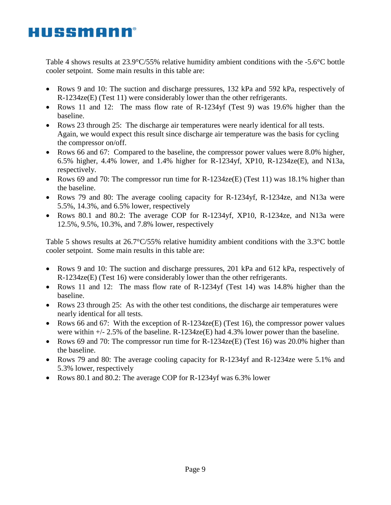Table 4 shows results at 23.9°C/55% relative humidity ambient conditions with the -5.6°C bottle cooler setpoint. Some main results in this table are:

- Rows 9 and 10: The suction and discharge pressures, 132 kPa and 592 kPa, respectively of R-1234ze(E) (Test 11) were considerably lower than the other refrigerants.
- Rows 11 and 12: The mass flow rate of R-1234yf (Test 9) was 19.6% higher than the baseline.
- Rows 23 through 25: The discharge air temperatures were nearly identical for all tests. Again, we would expect this result since discharge air temperature was the basis for cycling the compressor on/off.
- Rows 66 and 67: Compared to the baseline, the compressor power values were 8.0% higher, 6.5% higher, 4.4% lower, and 1.4% higher for R-1234yf, XP10, R-1234ze(E), and N13a, respectively.
- Rows 69 and 70: The compressor run time for R-1234ze(E) (Test 11) was 18.1% higher than the baseline.
- Rows 79 and 80: The average cooling capacity for R-1234yf, R-1234ze, and N13a were 5.5%, 14.3%, and 6.5% lower, respectively
- Rows 80.1 and 80.2: The average COP for R-1234yf, XP10, R-1234ze, and N13a were 12.5%, 9.5%, 10.3%, and 7.8% lower, respectively

Table 5 shows results at 26.7°C/55% relative humidity ambient conditions with the 3.3°C bottle cooler setpoint. Some main results in this table are:

- Rows 9 and 10: The suction and discharge pressures, 201 kPa and 612 kPa, respectively of R-1234ze(E) (Test 16) were considerably lower than the other refrigerants.
- Rows 11 and 12: The mass flow rate of R-1234yf (Test 14) was 14.8% higher than the baseline.
- Rows 23 through 25: As with the other test conditions, the discharge air temperatures were nearly identical for all tests.
- Rows 66 and 67: With the exception of  $R-1234$ ze(E) (Test 16), the compressor power values were within +/- 2.5% of the baseline. R-1234ze(E) had 4.3% lower power than the baseline.
- Rows 69 and 70: The compressor run time for R-1234ze(E) (Test 16) was 20.0% higher than the baseline.
- Rows 79 and 80: The average cooling capacity for R-1234yf and R-1234ze were 5.1% and 5.3% lower, respectively
- Rows 80.1 and 80.2: The average COP for R-1234yf was 6.3% lower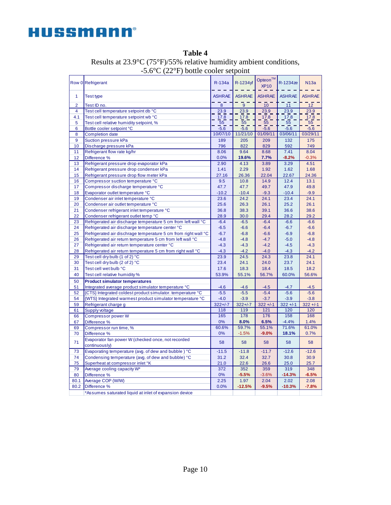|                | Row 0 Refrigerant                                              | R-134a            | R-1234yf             | Opteon™<br><b>XP10</b> | R-1234ze         | N13a           |
|----------------|----------------------------------------------------------------|-------------------|----------------------|------------------------|------------------|----------------|
| $\mathbf{1}$   | <b>Test type</b>                                               | <b>ASHRAE</b>     | <b>ASHRAE</b>        | <b>ASHRAE</b>          | <b>ASHRAE</b>    | <b>ASHRAE</b>  |
| $\overline{2}$ | Test ID no.                                                    | 8                 | $\overline{9}$       | 10                     | 11               | 12             |
| $\overline{4}$ | Test cell temperature setpoint db °C                           | 23.9              | 23.9                 | 23.9                   | 23.9             | 23.9           |
| 4.1            | Test cell temperature setpoint wb °C                           | 17.8              | 17.8                 | 17.8                   | 17.8             | 17.8           |
| 5              | Test cell relative humidity setpoint, %                        | $\overline{55}$   | $\overline{55}$<br>- | 55                     | 55               | 55             |
| 6              | Bottle cooler setpoint °C                                      | $-5.\overline{6}$ | $-5.6$               | $-5.6$                 | $-5.6$           | $-5.6$         |
| 8              | <b>Completion date</b>                                         | 10/07/10          | 11/21/10             | 01/09/11               | 03/06/11         | 03/29/11       |
| 9              | Suction pressure kPa                                           | 189               | 205                  | 209                    | 132              | 175            |
| 10             | Discharge pressure kPa                                         | 796               | 822                  | 829                    | 592              | 749            |
| 11             | Refrigerant flow rate kg/hr                                    | 8.06              | 9.64                 | 8.68                   | 7.41             | 8.04           |
| 12             | Difference %                                                   | 0.0%              | 19.6%                | 7.7%                   | $-8.2%$          | $-0.3%$        |
| 13             | Refrigerant pressure drop evaporator kPa                       | 2.90              | 4.13                 | 3.89                   | 3.29             | 4.51           |
| 14             | Refrigerant pressure drop condenser kPa                        | 1.41              | 2.29                 | 1.92                   | 1.62             | 1.68           |
| 15             | Refrigerant pressure drop flow meter kPa                       | 27.16             | 26.36                | 22.04                  | 22.67            | 24.36          |
| 16             | Compressor suction temperature °C                              | 9.5               | 10.8                 | 14.9                   | 12.4             | 13.1           |
| 17             | Compressor discharge temperature °C                            | 47.7              | 47.7                 | 49.7                   | 47.9             | 49.8           |
| 18             | Evaporator outlet temperature °C                               | $-10.2$           | $-10.4$              | $-9.3$                 | $-10.4$          | $-9.9$         |
| 19             | Condenser air inlet temperature °C                             | 23.6              | 24.2                 | 24.1                   | 23.4             | 24.1           |
| 20             | Condenser air outlet temperature °C                            | 25.6              | 26.3                 | 26.1                   | 25.2             | 26.1           |
| 21             | Condenser refrigerant inlet temperature °C                     | 36.8              | 38.3                 | 39.1                   | 36.6             | 38.6           |
| 22             | Condenser refrigerant outlet temp °C                           | 28.9              | 30.0                 | 29.4                   | 28.2             | 29.2           |
| 23             | Refrigerated air discharge temperature 5 cm from left wall °C  | $-6.4$            | $-6.5$               | $-6.4$                 | $-6.6$           | $-6.6$         |
| 24             | Refrigerated air discharge temperature center °C               | $-6.5$            | $-6.6$               | $-6.4$                 | $-6.7$           | $-6.6$         |
| 25             | Refrigerated air dischrage temperature 5 cm from right wall °C | $-6.7$            | $-6.8$               | $-6.6$                 | $-6.9$           | $-6.8$         |
| 26             | Refrigerated air return temperature 5 cm from left wall °C     | $-4.8$            | $-4.8$               | $-4.7$                 | $-5.0$           | $-4.8$         |
| 27             | Refrigerated air return temperature center °C                  | $-4.3$            | $-4.3$               | $-4.2$                 | $-4.5$           | $-4.3$         |
| 28             | Refrigerated air return temperature 5 cm from right wall °C    | $-4.3$            | $-4.2$               | $-4.0$                 | $-4.3$           | $-4.2$         |
| 29             | Test cell dry bulb (1 of 2) °C                                 | 23.9              | 24.5                 | 24.3                   | 23.8             | 24.1           |
| 30             | Test cell dry bulb (2 of 2) °C                                 | 23.4              | 24.1                 | 24.0                   | 23.7             | 24.1           |
| 31             | Test cell wet bulb °C                                          | 17.6              | 18.3                 | 18.4                   | 18.5             | 18.2           |
| 40             | Test cell relative humidity %                                  | 53.9%             | 55.1%                | 56.7%                  | 60.0%            | 56.6%          |
| 50             | <b>Product simulator temperatures</b>                          |                   |                      |                        |                  |                |
| 51             | Integrated average product simulator temperature °C            | $-4.6$            | $-4.6$               | $-4.5$                 | $-4.7$           | $-4.5$         |
| 52             | {CTS} Integrated coldest product simulator, temperature °C     | $-5.5$            | $-5.5$               | $-5.4$                 | $-5.6$           | $-5.6$         |
| 54             | {WTS} Integrated warmest product simulator temperature °C      | $-4.0$            | $-3.9$               | $-3.7$                 | $-3.9$           | $-3.8$         |
| 59             | Refrigerant charge g                                           | $322 + 1 - 7$     | $322 + 1 - 7$        | $322 + 1 - 1$          | $322 + 1 - 1$    | $322 + 1 - 1$  |
| 61             | Supply voltage                                                 | 118               | 119                  | 121                    | 120              | 120            |
| 66             | <b>Compressor power W</b>                                      | 165               | 178                  | 176                    | 158              | 168            |
| 67             | Difference %                                                   | 0%                | 8.0%                 | 6.5%                   | $-4.4%$          | 1.4%           |
| 69             | Compressor run time, %                                         | 60.6%             | 59.7%                | 55.1%                  | 71.6%            | 61.0%          |
| 70             | Difference %                                                   | 0%                | $-1.5%$              | $-9.0%$                | 18.1%            | 0.7%           |
| 71             | Evaporator fan power W (checked once, not recorded             | 58                | 58                   | 58                     | 58               | 58             |
|                | continuously)                                                  |                   |                      |                        |                  |                |
| 73             | Evaporating temperature (avg. of dew and bubble) °C            | $-11.5$           | $-11.8$              | $-11.7$                | $-12.6$          | $-12.6$        |
| 74             | Condensing temperature (avg. of dew and bubble) °C             | 31.2              | 32.4                 | 32.7                   | 30.8             | 30.9           |
| 75<br>79       | Superheat at compressor inlet °K                               | 21.0<br>372       | 22.6<br>352          | 26.6                   | 25.0             | 25.7           |
|                | Average cooling capacity W*                                    | 0%                | $-5.5%$              | 359<br>$-3.6%$         | 319<br>$-14.3%$  | 348<br>$-6.5%$ |
| 80             | Difference %                                                   |                   |                      |                        |                  |                |
| 80.1<br>80.2   | Average COP (W/W)                                              | 2.25<br>0.0%      | 1.97<br>$-12.5%$     | 2.04<br>$-9.5%$        | 2.02<br>$-10.3%$ | 2.08           |
|                | Difference %                                                   |                   |                      |                        |                  | $-7.8%$        |
|                | *Assumes saturated liquid at inlet of expansion device         |                   |                      |                        |                  |                |

**Table 4** Results at 23.9°C (75°F)/55% relative humidity ambient conditions, -5.6°C (22°F) bottle cooler setpoint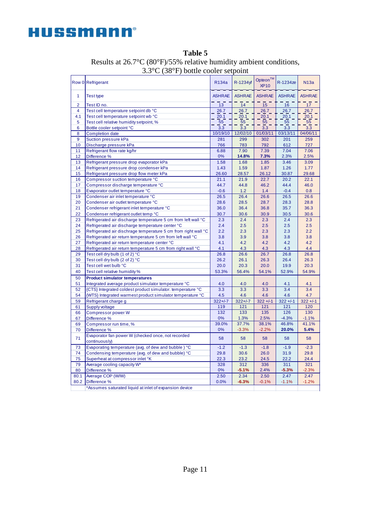

|                | Row 0 Refrigerant                                                   | R134a         | R-1234yf         | Opteon™<br><b>XP10</b> | R-1234ze      | <b>N13a</b>   |
|----------------|---------------------------------------------------------------------|---------------|------------------|------------------------|---------------|---------------|
| $\mathbf{1}$   | Test type                                                           | <b>ASHRAE</b> | <b>ASHRAE</b>    | <b>ASHRAE</b>          | <b>ASHRAE</b> | <b>ASHRAE</b> |
| $\overline{2}$ | Test ID no.                                                         | 13            | 14               | 15                     | 16            | 17            |
| $\overline{4}$ | Test cell temperature setpoint db °C                                | 26.7          | 26.7             | 26.7                   | 26.7          | 26.7          |
| 4.1            | Test cell temperature setpoint wb °C                                | 20.1          | 20.1             | 20.1                   | 20.1          | 20.1          |
| 5              | Test cell relative humidity setpoint, %                             | 55            | 55               | 55                     | 55            | 55            |
| 6              | Bottle cooler setpoint °C                                           | 3.3           | $\overline{3.3}$ | 3.3                    | 3.3           | 3.3           |
| 8              | <b>Completion date</b>                                              | 10/19/10      | 12/02/10         | 01/03/11               | 03/13/11      | 04/06/11      |
| 9              | Suction pressure kPa                                                | 281           | 299              | 302                    | 201           | 259           |
| 10             | Discharge pressure kPa                                              | 766           | 783              | 792                    | 612           | 727           |
| 11             | Refrigerant flow rate kg/hr                                         | 6.88          | 7.90             | 7.39                   | 7.04          | 7.06          |
| 12             | Difference %                                                        | 0%            | 14.8%            | 7.3%                   | 2.3%          | 2.5%          |
| 13             | Refrigerant pressure drop evaporator kPa                            | 1.58          | 1.68             | 1.85                   | 3.46          | 3.09          |
| 14             | Refrigerant pressure drop condenser kPa                             | 1.43          | 1.59             | 1.87                   | 1.26          | 1.77          |
| 15             | Refrigerant pressure drop flow meter kPa                            | 26.60         | 28.57            | 26.12                  | 30.87         | 29.68         |
| 16             | Compressor suction temperature °C                                   | 21.1          | 21.9             | 22.7                   | 20.2          | 22.1          |
| 17             | Compressor discharge temperature °C                                 | 44.7          | 44.8             | 46.2                   | 44.4          | 46.0          |
| 18             | Evaporator outlet temperature °C                                    | $-0.6$        | 1.2              | 1.4                    | $-0.4$        | 0.8           |
| 19             | Condenser air inlet temperature °C                                  | 26.5          | 26.4             | 26.6                   | 26.5          | 26.6          |
| 20             | Condenser air outlet temperature °C                                 | 28.6          | 28.5             | 28.7                   | 28.3          | 28.8          |
| 21             | Condenser refrigerant inlet temperature °C                          | 36.0          | 36.4             | 36.8                   | 35.7          | 36.3          |
| 22             | Condenser refrigerant outlet temp °C                                | 30.7          | 30.6             | 30.9                   | 30.5          | 30.6          |
| 23             | Refrigerated air discharge temperature 5 cm from left wall °C       | 2.3           | 2.4              | 2.3                    | 2.4           | 2.3           |
| 24             | Refrigerated air discharge temperature center °C                    | 2.4           | 2.5              | 2.5                    | 2.5           | 2.5           |
| 25             | Refrigerated air dischrage temperature 5 cm from right wall °C      | 2.2           | 2.3              | 2.3                    | 2.3           | 2.2           |
| 26             | Refrigerated air return temperature 5 cm from left wall °C          | 3.8           | 3.9              | 3.8                    | 3.8           | 3.8           |
| 27             | Refrigerated air return temperature center °C                       | 4.1           | 4.2              | 4.2                    | 4.2           | 4.2           |
| 28             | Refrigerated air return temperature 5 cm from right wall °C         | 4.1           | 4.3              | 4.3                    | 4.3           | 4.4           |
| 29             | Test cell dry bulb (1 of 2) °C                                      | 26.8          | 26.6             | 26.7                   | 26.8          | 26.8          |
| 30             | Test cell dry bulb (2 of 2) °C                                      | 26.2          | 26.1             | 26.3                   | 26.4          | 26.3          |
| 31             | Test cell wet bulb °C                                               | 20.0          | 20.3             | 20.0                   | 19.9          | 20.3          |
| 40             | Test cell relative humidity %                                       | 53.3%         | 56.4%            | 54.1%                  | 52.9%         | 54.9%         |
| 50             | <b>Product simulator temperatures</b>                               |               |                  |                        |               |               |
| 51             | Integrated average product simulator temperature °C                 | 4.0           | 4.0              | 4.0                    | 4.1           | 4.1           |
| 52             | {CTS} Integrated coldest product simulator, temperature °C          | 3.3           | 3.3              | 3.3                    | 3.4           | 3.4           |
| 54             | {WTS} Integrated warmest product simulator temperature °C           | 4.5           | 4.6              | 4.6                    | 4.6           | 4.7           |
| 59             | Refrigerant charge g                                                | $322 + 1 - 7$ | $322 + 1 - 7$    | $322 + 1 - 1$          | $322 + 1 - 1$ | $322 + 1 - 1$ |
| 61             | Supply voltage                                                      | 119           | 121              | 121                    | 121           | 120           |
| 66             | <b>Compressor power W</b>                                           | 132           | 133              | 135                    | 126           | 130           |
| 67             | Difference %                                                        | 0%            | 1.3%             | 2.5%                   | $-4.3%$       | $-1.1%$       |
| 69             |                                                                     | 39.0%         | 37.7%            | 38.1%                  | 46.8%         | 41.1%         |
|                | Compressor run time, %<br>Difference %                              | 0%            | $-3.3%$          | $-2.2%$                | 20.0%         | 5.4%          |
| 70             |                                                                     |               |                  |                        |               |               |
| 71             | Evaporator fan power W (checked once, not recorded<br>continuously) | 58            | 58               | 58                     | 58            | 58            |
| 73             | Evaporating temperature (avg. of dew and bubble) °C                 | $-1.2$        | $-1.3$           | $-1.8$                 | $-1.9$        | $-2.3$        |
| 74             | Condensing temperature (avg. of dew and bubble) °C                  | 29.8          | 30.6             | 26.0                   | 31.9          | 29.8          |
| 75             | Superheat at compressor inlet °K                                    | 22.3          | 23.2             | 24.5                   | 22.2          | 24.4          |
| 79             | Average cooling capacity W*                                         | 328           | 312              | 336                    | 311           | 321           |
| 80             | Difference %                                                        | 0%            | $-5.1%$          | 2.4%                   | $-5.3%$       | $-2.3%$       |
| 80.1           | Average COP (W/W)                                                   | 2.50          | 2.34             | 2.50                   | 2.47          | 2.47          |
| 80.2           | Difference %                                                        | 0.0%          | $-6.3%$          | $-0.1%$                | $-1.1%$       | $-1.2%$       |
|                | *Assumes saturated liquid at inlet of expansion device              |               |                  |                        |               |               |

**Table 5** Results at 26.7°C (80°F)/55% relative humidity ambient conditions, 3.3°C (38°F) bottle cooler setpoint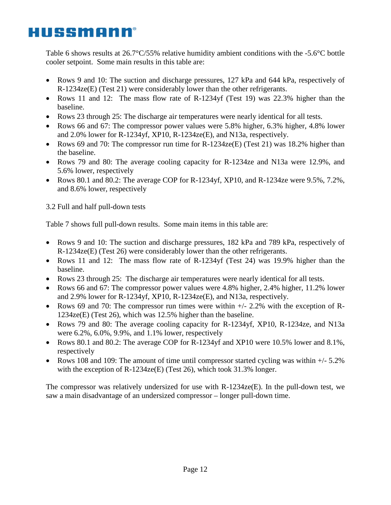Table 6 shows results at  $26.7^{\circ}C/55\%$  relative humidity ambient conditions with the -5.6 $^{\circ}C$  bottle cooler setpoint. Some main results in this table are:

- Rows 9 and 10: The suction and discharge pressures, 127 kPa and 644 kPa, respectively of R-1234ze(E) (Test 21) were considerably lower than the other refrigerants.
- Rows 11 and 12: The mass flow rate of R-1234yf (Test 19) was 22.3% higher than the baseline.
- Rows 23 through 25: The discharge air temperatures were nearly identical for all tests.
- Rows 66 and 67: The compressor power values were 5.8% higher, 6.3% higher, 4.8% lower and 2.0% lower for R-1234yf, XP10, R-1234ze(E), and N13a, respectively.
- Rows 69 and 70: The compressor run time for R-1234ze(E) (Test 21) was 18.2% higher than the baseline.
- Rows 79 and 80: The average cooling capacity for R-1234ze and N13a were 12.9%, and 5.6% lower, respectively
- Rows 80.1 and 80.2: The average COP for R-1234yf, XP10, and R-1234ze were 9.5%, 7.2%, and 8.6% lower, respectively

3.2 Full and half pull-down tests

Table 7 shows full pull-down results. Some main items in this table are:

- Rows 9 and 10: The suction and discharge pressures, 182 kPa and 789 kPa, respectively of R-1234ze(E) (Test 26) were considerably lower than the other refrigerants.
- Rows 11 and 12: The mass flow rate of R-1234yf (Test 24) was 19.9% higher than the baseline.
- Rows 23 through 25: The discharge air temperatures were nearly identical for all tests.
- Rows 66 and 67: The compressor power values were 4.8% higher, 2.4% higher, 11.2% lower and 2.9% lower for R-1234yf, XP10, R-1234ze(E), and N13a, respectively.
- Rows 69 and 70: The compressor run times were within  $+/$  2.2% with the exception of R-1234ze(E) (Test 26), which was 12.5% higher than the baseline.
- Rows 79 and 80: The average cooling capacity for R-1234yf, XP10, R-1234ze, and N13a were 6.2%, 6.0%, 9.9%, and 1.1% lower, respectively
- Rows 80.1 and 80.2: The average COP for R-1234yf and XP10 were 10.5% lower and 8.1%, respectively
- Rows 108 and 109: The amount of time until compressor started cycling was within  $+/- 5.2\%$ with the exception of R-1234ze(E) (Test 26), which took 31.3% longer.

The compressor was relatively undersized for use with R-1234ze(E). In the pull-down test, we saw a main disadvantage of an undersized compressor – longer pull-down time.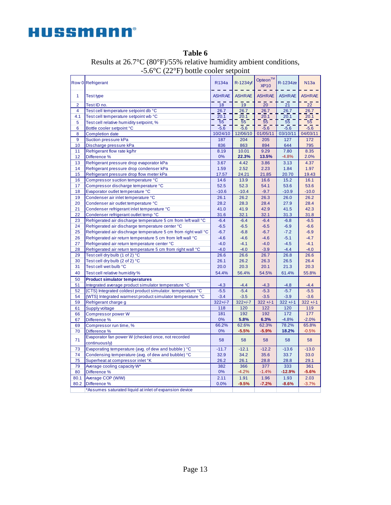

|                | Row 0 Refrigerant                                                   | R134a         | R-1234yf      | Opteon™<br><b>XP10</b> | R-1234ze      | N13a          |
|----------------|---------------------------------------------------------------------|---------------|---------------|------------------------|---------------|---------------|
| 1              | <b>Test type</b>                                                    | <b>ASHRAE</b> | <b>ASHRAE</b> | <b>ASHRAE</b>          | <b>ASHRAE</b> | <b>ASHRAE</b> |
| $\overline{2}$ | Test ID no.                                                         | 18            | 19            | 20                     | 21            | 22            |
| $\overline{4}$ | Test cell temperature setpoint db °C                                | 26.7          | 26.7          | 26.7                   | 26.7          | 26.7          |
| 4.1            | Test cell temperature setpoint wb °C                                | 20.1          | 20.1          | 20.1                   | 20.1          | 20.1          |
| 5              | Test cell relative humidity setpoint, %                             | 55            | 55            | 55                     | 55            | 55            |
| 6              | Bottle cooler setpoint °C                                           | $-5.6$        | $-5.6$        | $-5.6$                 | $-5.6$        | $-5.6$        |
| 8              | <b>Completion date</b>                                              | 10/24/10      | 12/06/10      | 01/05/11               | 03/10/11      | 04/03/11      |
| 9              | Suction pressure kPa                                                | 187           | 204           | 205                    | 127           | 172           |
| 10             | Discharge pressure kPa                                              | 836           | 863           | 894                    | 644           | 795           |
| 11             | Refrigerant flow rate kg/hr                                         | 8.19          | 10.01         | 9.29                   | 7.80          | 8.35          |
| 12             | Difference %                                                        | 0%            | 22.3%         | 13.5%                  | $-4.8%$       | 2.0%          |
| 13             | Refrigerant pressure drop evaporator kPa                            | 3.67          | 4.42          | 3.86                   | 3.13          | 4.37          |
| 14             | Refrigerant pressure drop condenser kPa                             | 1.59          | 2.52          | 2.23                   | 1.84          | 1.97          |
| 15             | Refrigerant pressure drop flow meter kPa                            | 17.57         | 24.21         | 21.85                  | 20.70         | 19.43         |
| 16             | Compressor suction temperature °C                                   | 14.6          | 13.9          | 16.6                   | 15.2          | 16.1          |
| 17             | Compressor discharge temperature °C                                 | 52.5          | 52.3          | 54.1                   | 53.6          | 53.6          |
| 18             | Evaporator outlet temperature °C                                    | $-10.6$       | $-10.4$       | $-9.7$                 | $-10.9$       | $-10.0$       |
| 19             | Condenser air inlet temperature °C                                  | 26.1          | 26.2          | 26.3                   | 26.0          | 26.2          |
| 20             | Condenser air outlet temperature °C                                 | 28.2          | 28.3          | 28.4                   | 27.9          | 28.4          |
| 21             | Condenser refrigerant inlet temperature °C                          | 41.0          | 41.9          | 42.9                   | 41.5          | 42.3          |
| 22             | Condenser refrigerant outlet temp °C                                | 31.6          | 32.1          | 32.1                   | 31.3          | 31.8          |
| 23             | Refrigerated air discharge temperature 5 cm from left wall °C       | $-6.4$        | $-6.4$        | $-6.4$                 | $-6.8$        | $-6.5$        |
| 24             | Refrigerated air discharge temperature center °C                    | $-6.5$        | $-6.5$        | $-6.5$                 | $-6.9$        | $-6.6$        |
| 25             | Refrigerated air dischrage temperature 5 cm from right wall °C      | $-6.7$        | $-6.8$        | $-6.7$                 | $-7.2$        | $-6.9$        |
| 26             | Refrigerated air return temperature 5 cm from left wall °C          | $-4.6$        | $-4.6$        | $-4.6$                 | $-5.1$        | $-4.7$        |
| 27             | Refrigerated air return temperature center °C                       | $-4.0$        | $-4.1$        | $-4.0$                 | $-4.5$        | $-4.1$        |
| 28             | Refrigerated air return temperature 5 cm from right wall °C         | $-4.0$        | $-4.0$        | $-3.9$                 | $-4.4$        | $-4.0$        |
| 29             | Test cell dry bulb (1 of 2) °C                                      | 26.6          | 26.6          | 26.7                   | 26.8          | 26.6          |
| 30             | Test cell dry bulb (2 of 2) °C                                      | 26.1          | 26.2          | 26.3                   | 26.5          | 26.4          |
| 31             | Test cell wet bulb °C                                               | 20.0          | 20.3          | 20.1                   | 21.3          | 20.3          |
| 40             | Test cell relative humidity %                                       | 54.4%         | 56.4%         | 54.5%                  | 61.4%         | 55.8%         |
| 50             | <b>Product simulator temperatures</b>                               |               |               |                        |               |               |
| 51             | Integrated average product simulator temperature °C                 | $-4.3$        | $-4.4$        | $-4.3$                 | $-4.8$        | $-4.4$        |
| 52             | {CTS} Integrated coldest product simulator. temperature °C          | $-5.5$        | $-5.4$        | $-5.3$                 | $-5.7$        | $-5.5$        |
| 54             | {WTS} Integrated warmest product simulator temperature °C           | $-3.4$        | $-3.5$        | $-3.5$                 | $-3.9$        | $-3.6$        |
| 59             | Refrigerant charge g                                                | $322 + 1 - 7$ | $322 + 1 - 7$ | $322 + 1 - 1$          | $322 + 1 - 1$ | $322 + 1 - 1$ |
| 61             | Supply voltage                                                      | 118           | 120           | 122                    | 120           | 119           |
| 66             | <b>Compressor power W</b>                                           | 181           | 192           | 192                    | 172           | 177           |
| 67             | Difference %                                                        | 0%            | 5.8%          | 6.3%                   | $-4.8%$       | $-2.0%$       |
| 69             | Compressor run time, %                                              | 66.2%         | 62.6%         | 62.3%                  | 78.2%         | 65.8%         |
| 70             | Difference %                                                        | 0%            | $-5.5%$       | $-5.9%$                | 18.2%         | $-0.5%$       |
| 71             | Evaporator fan power W (checked once, not recorded<br>continuously) | 58            | 58            | 58                     | 58            | 58            |
| 73             | Evaporating temperature (avg. of dew and bubble) °C                 | $-11.7$       | $-12.1$       | $-12.2$                | $-13.6$       | $-13.0$       |
| 74             | Condensing temperature (avg. of dew and bubble) °C                  | 32.9          | 34.2          | 35.6                   | 33.7          | 33.0          |
| 75             | Superheat at compressor inlet °K                                    | 26.2          | 26.1          | 28.8                   | 28.8          | 29.1          |
| 79             | Average cooling capacity W*                                         | 382           | 366           | 377                    | 333           | 361           |
| 80             | Difference %                                                        | 0%            | $-4.2%$       | $-1.4%$                | $-12.9%$      | $-5.6%$       |
| 80.1           | Average COP (W/W)                                                   | 2.11          | 1.91          | 1.96                   | 1.93          | 2.03          |
| 80.2           | Difference %                                                        | 0.0%          | $-9.5%$       | $-7.2%$                | $-8.6%$       | $-3.7%$       |
|                | *Assumes saturated liquid at inlet of expansion device              |               |               |                        |               |               |

**Table 6** Results at 26.7°C (80°F)/55% relative humidity ambient conditions, -5.6°C (22°F) bottle cooler setpoint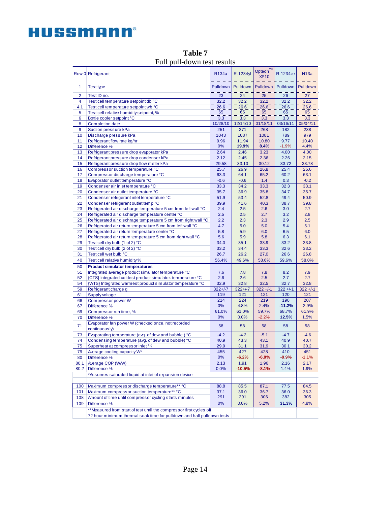|                | Row 0 Refrigerant                                                      | R <sub>134a</sub> | R-1234yf         | Opteon <sup>™</sup><br><b>XP10</b> | R-1234ze      | <b>N13a</b>   |  |
|----------------|------------------------------------------------------------------------|-------------------|------------------|------------------------------------|---------------|---------------|--|
| 1              | <b>Test type</b>                                                       | Pulldown          | Pulldown         | Pulldown                           | Pulldown      | Pulldown      |  |
| $\overline{2}$ | Test ID no.                                                            | 23                | 24               | 25                                 | 26            | 27            |  |
| 4              | Test cell temperature setpoint db °C                                   | 32.2              | 32.2             | 32.2                               | 32.2          | 32.2          |  |
| 4.1            | Test cell temperature setpoint wb °C                                   | 26.6              | 26.6             | 26.6                               | 26.6          | 26.6          |  |
| 5              | Test cell relative humidity setpoint, %                                | 65                | 65               | 65                                 | 65            | 65            |  |
| 6              | Bottle cooler setpoint °C                                              | $\overline{3.3}$  | $\overline{3.3}$ | 3.3                                | 3.3           | 3.3           |  |
| 8              | <b>Completion date</b>                                                 | 10/28/10          | 12/14/10         | 01/18/11                           | 03/16/11      | 05/04/11      |  |
| 9              | Suction pressure kPa                                                   | 251               | 271              | 268                                | 182           | 238           |  |
| 10             | Discharge pressure kPa                                                 | 1043              | 1087             | 1081                               | 789           | 979           |  |
| 11             | Refrigerant flow rate kg/hr                                            | 9.96              | 11.94            | 10.80                              | 9.77          | 10.40         |  |
| 12             | Difference %                                                           | 0%                | 19.9%            | 8.4%                               | $-1.9%$       | 4.4%          |  |
| 13             | Refrigerant pressure drop evaporator kPa                               | 2.64              | 2.46             | 3.23                               | 4.00          | 4.00          |  |
| 14             | Refrigerant pressure drop condenser kPa                                | 2.12              | 2.45             | 2.36                               | 2.26          | 2.15          |  |
| 15             | Refrigerant pressure drop flow meter kPa                               | 29.58             | 33.10            | 30.12                              | 33.72         | 33.78         |  |
| 16             | Compressor suction temperature °C                                      | 25.7              | 26.9             | 26.8                               | 25.4          | 25.6          |  |
| 17             | Compressor discharge temperature °C                                    | 63.3              | 64.1             | 65.2                               | 60.2          | 63.1          |  |
| 18             | Evaporator outlet temperature °C                                       | $-0.6$            | $-0.6$           | 1.4                                | 0.3           | $-0.2$        |  |
| 19             | Condenser air inlet temperature °C                                     | 33.3              | 34.2             | 33.3                               | 32.3          | 33.1          |  |
| 20             | Condenser air outlet temperature °C                                    | 35.7              | 36.9             | 35.8                               | 34.7          | 35.7          |  |
| 21             | Condenser refrigerant inlet temperature °C                             | 51.9              | 53.4             | 52.8                               | 49.4          | 50.9          |  |
| 22             | Condenser refrigerant outlet temp °C                                   | 39.9              | 41.6             | 40.3                               | 38.7          | 39.8          |  |
| 23             | Refrigerated air discharge temperature 5 cm from left wall °C          | 2.4               | 2.5              | 2.6                                | 3.0           | 2.7           |  |
| 24             | Refrigerated air discharge temperature center °C                       | 2.5               | 2.5              | 2.7                                | 3.2           | 2.8           |  |
| 25             | Refrigerated air dischrage temperature 5 cm from right wall °C         | 2.2               | 2.3              | 2.3                                | 2.9           | 2.5           |  |
| 26             | Refrigerated air return temperature 5 cm from left wall °C             | 4.7               | 5.0              | 5.0                                | 5.4           | 5.1           |  |
| 27             | Refrigerated air return temperature center °C                          | 5.8               | 5.9              | 6.0                                | 6.5           | 6.0           |  |
| 28             | Refrigerated air return temperature 5 cm from right wall °C            | 5.6               | 5.9              | 5.8                                | 6.3           | 6.1           |  |
| 29             | Test cell dry bulb (1 of 2) °C                                         | 34.0              | 35.1             | 33.9                               | 33.2          | 33.8          |  |
| 30             | Test cell dry bulb (2 of 2) °C                                         | 33.2              | 34.4             | 33.3                               | 32.6          | 33.2          |  |
| 31             | Test cell wet bulb °C                                                  | 26.7              | 26.2             | 27.0                               | 26.6          | 26.8          |  |
| 40             | Test cell relative humidity %                                          | 56.4%             | 49.6%            | 58.6%                              | 59.6%         | 58.0%         |  |
| 50             | <b>Product simulator temperatures</b>                                  |                   |                  |                                    |               |               |  |
| 51             | Integrated average product simulator temperature °C                    | 7.6               | 7.8              | 7.8                                | 8.2           | 7.9           |  |
| 52             | {CTS} Integrated coldest product simulator. temperature °C             | 2.6               | 2.6              | 2.5                                | 2.7           | 2.7           |  |
| 54             | {WTS} Integrated warmest product simulator temperature °C              | 32.9              | 32.8             | 32.5                               | 32.7          | 32.8          |  |
| 59             | Refrigerant charge g                                                   | $322 + 1 - 7$     | $322 + 1 - 7$    | $322 + 1 - 1$                      | $322 + 1 - 1$ | $322 + 1 - 1$ |  |
| 61             | Supply voltage                                                         | 119               | 121              | 121                                | 120           | 121           |  |
| 66             | <b>Compressor power W</b>                                              | 214               | 224              | 219                                | 190           | 207           |  |
| 67             | Difference %                                                           | 0%                | 4.8%             | 2.4%                               | $-11.2%$      | $-2.9%$       |  |
| 69             | Compressor run time, %                                                 | 61.0%             | 61.0%            | 59.7%                              | 68.7%         | 61.9%         |  |
| 70             | Difference %                                                           | 0%                | 0.0%             | $-2.2%$                            | 12.5%         | 1.5%          |  |
|                | Evaporator fan power W (checked once, not recorded                     |                   |                  |                                    |               |               |  |
| 71             | continuously)                                                          | 58                | 58               | 58                                 | 58            | 58            |  |
| 73             | Evaporating temperature (avg. of dew and bubble) °C                    | $-4.2$            | $-4.2$           | $-5.1$                             | $-4.7$        | $-4.6$        |  |
| 74             | Condensing temperature (avg. of dew and bubble) °C                     | 40.9              | 43.3             | 43.1                               | 40.9          | 40.7          |  |
| 75             | Superheat at compressor inlet °K                                       | 29.9              | 31.1             | 31.9                               | 30.1          | 30.2          |  |
| 79             | Average cooling capacity W*                                            | 455               | 427              | 428                                | 410           | 451           |  |
| 80             | Difference %                                                           | 0%                | $-6.2%$          | $-6.0%$                            | $-9.9%$       | $-1.1%$       |  |
| 80.1           | Average COP (W/W)                                                      | 2.13              | 1.91             | 1.96                               | 2.16          | 2.17          |  |
| 80.2           | Difference %                                                           | 0.0%              | $-10.5%$         | $-8.1%$                            | 1.4%          | 1.9%          |  |
|                | *Assumes saturated liquid at inlet of expansion device                 |                   |                  |                                    |               |               |  |
|                |                                                                        |                   |                  |                                    |               |               |  |
| 100            | Maximum compressor discharge temperature** °C                          | 88.8              | 85.5             | 87.1                               | 77.5          | 84.5          |  |
| 101            | Maximum compressor suction temperature** °C                            | 37.1              | 36.0             | 36.7                               | 36.0          | 36.3          |  |
| 108            | Amount of time until compressor cycling starts minutes                 | 291               | 291              | 306                                | 382           | 305           |  |
| 109            | Difference %                                                           | 0%                | 0.0%             | 5.2%                               | 31.3%         | 4.8%          |  |
|                | **Measured from start of test until the compressor first cycles off    |                   |                  |                                    |               |               |  |
|                | 72 hour minimum thermal soak time for pulldown and half pulldown tests |                   |                  |                                    |               |               |  |

**Table 7** Full pull-down test results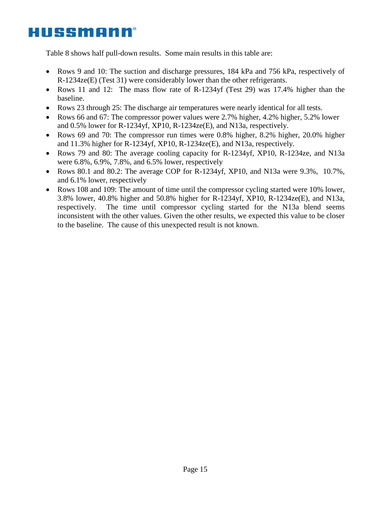Table 8 shows half pull-down results. Some main results in this table are:

- Rows 9 and 10: The suction and discharge pressures, 184 kPa and 756 kPa, respectively of R-1234ze(E) (Test 31) were considerably lower than the other refrigerants.
- Rows 11 and 12: The mass flow rate of R-1234yf (Test 29) was 17.4% higher than the baseline.
- Rows 23 through 25: The discharge air temperatures were nearly identical for all tests.
- Rows 66 and 67: The compressor power values were 2.7% higher, 4.2% higher, 5.2% lower and 0.5% lower for R-1234yf, XP10, R-1234ze(E), and N13a, respectively.
- Rows 69 and 70: The compressor run times were 0.8% higher, 8.2% higher, 20.0% higher and 11.3% higher for R-1234yf, XP10, R-1234ze(E), and N13a, respectively.
- Rows 79 and 80: The average cooling capacity for R-1234yf, XP10, R-1234ze, and N13a were 6.8%, 6.9%, 7.8%, and 6.5% lower, respectively
- Rows 80.1 and 80.2: The average COP for R-1234yf, XP10, and N13a were 9.3%, 10.7%, and 6.1% lower, respectively
- Rows 108 and 109: The amount of time until the compressor cycling started were 10% lower, 3.8% lower, 40.8% higher and 50.8% higher for R-1234yf, XP10, R-1234ze(E), and N13a, respectively. The time until compressor cycling started for the N13a blend seems inconsistent with the other values. Given the other results, we expected this value to be closer to the baseline. The cause of this unexpected result is not known.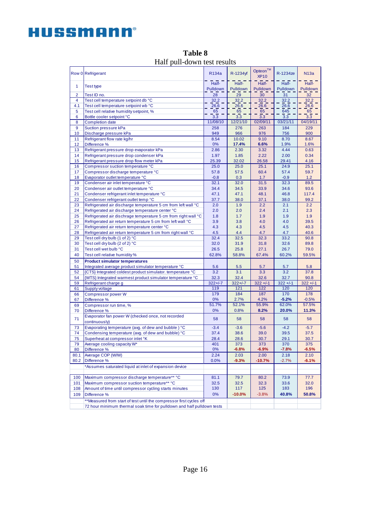|                | Row 0 Refrigerant                                                      | R134a             | R-1234yf          | Opteon™<br><b>XP10</b> | R-1234ze          | N13a              |
|----------------|------------------------------------------------------------------------|-------------------|-------------------|------------------------|-------------------|-------------------|
| 1              | <b>Test type</b>                                                       | Half-<br>Pulldown | Half-<br>Pulldown | Half-<br>Pulldown      | Half-<br>Pulldown | Half-<br>Pulldown |
| $\overline{2}$ |                                                                        |                   |                   | 30                     | 31                |                   |
| 4              | Test ID no.<br>Test cell temperature setpoint db °C                    | 28<br>32.2        | 29<br>32.2        | 32.2                   | 32.2              | 32<br>32.2        |
| 4.1            | Test cell temperature setpoint wb °C                                   | 26.6              | 26.6              | 26.6                   | 26.6              | 26.6              |
| 5              | Test cell relative humidity setpoint, %                                | 65                | 65                | 65                     | 645               | 65                |
| 6              | Bottle cooler setpoint °C                                              | 3.3               | 3.3               | 3.3                    | 3.3               | 3.3               |
| 8              | <b>Completion date</b>                                                 | 11/08/10          | 12/21/10          | 02/09/11               | 03/21/11          | 04/19/11          |
| 9              | Suction pressure kPa                                                   | 258               | 276               | 263                    | 184               | 229               |
| 10             | Discharge pressure kPa                                                 | 949               | 966               | 976                    | 756               | 900               |
| 11             | Refrigerant flow rate kg/hr                                            | 8.54              | 10.02             | 9.10                   | 8.70              | 8.67              |
| 12             | Difference %                                                           | 0%                | 17.4%             | 6.6%                   | 1.9%              | 1.6%              |
| 13             | Refrigerant pressure drop evaporator kPa                               | 2.86              | 2.30              | 3.32                   | 4.44              | 0.63              |
| 14             | Refrigerant pressure drop condenser kPa                                | 1.97              | 1.85              | 2.22                   | 2.00              | 0.34              |
| 15             | Refrigerant pressure drop flow meter kPa                               | 25.39             | 32.02             | 26.58                  | 29.41             | 4.16              |
| 16             | Compressor suction temperature °C                                      | 25.0              | 25.0              | 25.1                   | 24.9              | 25.1              |
| 17             | Compressor discharge temperature °C                                    | 57.8              | 57.5              | 60.4                   | 57.4              | 59.7              |
| 18             | Evaporator outlet temperature °C                                       | $-0.8$            | 0.3               | 1.7                    | $-0.9$            | 1.2               |
| 19             | Condenser air inlet temperature °C                                     | 32.1              | 32.0              | 31.5                   | 32.3              | 89.5              |
| 20             | Condenser air outlet temperature °C                                    | 34.4              | 34.5              | 33.9                   | 34.6              | 93.6              |
| 21             | Condenser refrigerant inlet temperature °C                             | 47.1              | 47.1              | 48.1                   | 46.8              | 117.4             |
| 22             | Condenser refrigerant outlet temp °C                                   | 37.7              | 38.0              | 37.1                   | 38.0              | 99.2              |
| 23             | Refrigerated air discharge temperature 5 cm from left wall °C          | 2.0               | 1.9               | 2.2                    | 2.1               | 2.2               |
| 24             | Refrigerated air discharge temperature center °C                       | 2.0               | 2.0               | 2.4                    | 2.1               | 2.3               |
| 25             | Refrigerated air dischrage temperature 5 cm from right wall °C         | 1.8               | 1.7               | 1.9                    | 1.9               | 1.9               |
| 26             | Refrigerated air return temperature 5 cm from left wall °C             | 3.9               | 3.8               | 4.0                    | 4.0               | 39.5              |
| 27             | Refrigerated air return temperature center °C                          | 4.3               | 4.3               | 4.5                    | 4.5               | 40.3              |
| 28             | Refrigerated air return temperature 5 cm from right wall °C            | 4.5               | 4.4               | 4.7                    | 4.7               | 40.6              |
| 29             | Test cell dry bulb (1 of 2) °C                                         | 32.4              | 32.5              | 32.3                   | 33.2              | 90.8              |
| 30             | Test cell dry bulb (2 of 2) °C                                         | 32.0              | 31.9              | 31.8                   | 32.6              | 89.8              |
| 31             | Test cell wet bulb °C                                                  | 26.5              | 25.8              | 27.1                   | 26.7              | 79.0              |
| 40             | Test cell relative humidity %                                          | 62.8%             | 58.8%             | 67.4%                  | 60.2%             | 59.5%             |
| 50             | <b>Product simulator temperatures</b>                                  |                   |                   |                        |                   |                   |
| 51             | Integrated average product simulator temperature °C                    | 5.6               | 5.5               | 5.7                    | 5.7               | 5.8               |
| 52             | {CTS} Integrated coldest product simulator, temperature °C             | 3.2               | 3.1               | 3.3                    | 3.2               | 37.8              |
| 54             | {WTS} Integrated warmest product simulator temperature °C              | 32.3              | 32.4              | 32.6                   | 32.7              | 90.8              |
| 59             | Refrigerant charge g                                                   | $322 + 1 - 7$     | $322 + 1 - 7$     | $322 + 1 - 1$          | $322 + 1 - 1$     | $322 + 1 - 1$     |
| 61             | Supply voltage                                                         | 119               | 121               | 122                    | 120               | 120               |
| 66             | <b>Compressor power W</b>                                              | 179               | 184               | 187                    | 170               | 178               |
| 67             | Difference %                                                           | 0%<br>51.7%       | 2.7%<br>52.1%     | 4.2%<br>55.9%          | $-5.2%$<br>62.0%  | $-0.5%$<br>57.5%  |
| 69             | Compressor run time, %                                                 |                   |                   |                        |                   |                   |
| 70             | Difference %                                                           | 0%                | 0.8%              | 8.2%                   | 20.0%             | 11.3%             |
| 71             | Evaporator fan power W (checked once, not recorded<br>continuously)    | 58                | 58                | 58                     | 58                | 58                |
| 73             | Evaporating temperature (avg. of dew and bubble) °C                    | $-3.4$            | $-3.6$            | $-5.6$                 | $-4.2$            | $-5.7$            |
| 74             | Condensing temperature (avg. of dew and bubble) °C                     | 37.4              | 38.6              | 39.0                   | 39.5              | 37.5              |
| 75             | Superheat at compressor inlet °K                                       | 28.4              | 28.6              | 30.7                   | 29.1              | 30.7              |
| 79             | Average cooling capacity W*                                            | 401               | 373               | 373                    | 370               | 375               |
| 80             | Difference %                                                           | 0%                | $-6.8%$           | $-6.9%$                | $-7.8%$           | $-6.5%$           |
| 80.1           | Average COP (W/W)                                                      | 2.24              | 2.03              | 2.00                   | 2.18              | 2.10              |
| 80.2           | Difference %                                                           | 0.0%              | $-9.3%$           | $-10.7%$               | $-2.7%$           | $-6.1%$           |
|                | *Assumes saturated liquid at inlet of expansion device                 |                   |                   |                        |                   |                   |
| 100            | Maximum compressor discharge temperature** °C                          | 81.1              | 79.7              | 80.2                   | 73.9              | 77.7              |
| 101            | Maximum compressor suction temperature** °C                            | 32.5              | 32.5              | 32.3                   | 33.6              | 32.0              |
| 108            | Amount of time until compressor cycling starts minutes                 | 130               | 117               | 125                    | 183               | 196               |
| 109            | Difference %                                                           | 0%                | $-10.0%$          | $-3.8%$                | 40.8%             | 50.8%             |
|                | **Measured from start of test until the compressor first cycles off    |                   |                   |                        |                   |                   |
|                | 72 hour minimum thermal soak time for pulldown and half pulldown tests |                   |                   |                        |                   |                   |
|                |                                                                        |                   |                   |                        |                   |                   |

**Table 8** Half pull-down test results